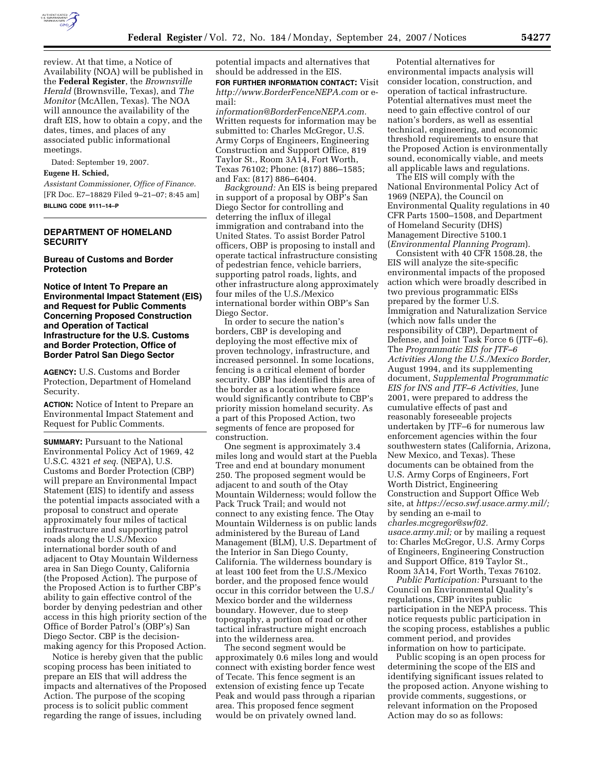

review. At that time, a Notice of Availability (NOA) will be published in the **Federal Register**, the *Brownsville Herald* (Brownsville, Texas), and *The Monitor* (McAllen, Texas). The NOA will announce the availability of the draft EIS, how to obtain a copy, and the dates, times, and places of any associated public informational meetings.

Dated: September 19, 2007. **Eugene H. Schied,** 

*Assistant Commissioner, Office of Finance.*  [FR Doc. E7–18829 Filed 9–21–07; 8:45 am] **BILLING CODE 9111–14–P** 

# **DEPARTMENT OF HOMELAND SECURITY**

## **Bureau of Customs and Border Protection**

**Notice of Intent To Prepare an Environmental Impact Statement (EIS) and Request for Public Comments Concerning Proposed Construction and Operation of Tactical Infrastructure for the U.S. Customs and Border Protection, Office of Border Patrol San Diego Sector** 

**AGENCY:** U.S. Customs and Border Protection, Department of Homeland Security.

**ACTION:** Notice of Intent to Prepare an Environmental Impact Statement and Request for Public Comments.

**SUMMARY: Pursuant to the National** Environmental Policy Act of 1969, 42 U.S.C. 4321 *et seq.* (NEPA), U.S. Customs and Border Protection (CBP) will prepare an Environmental Impact Statement (EIS) to identify and assess the potential impacts associated with a proposal to construct and operate approximately four miles of tactical infrastructure and supporting patrol roads along the U.S./Mexico international border south of and adjacent to Otay Mountain Wilderness area in San Diego County, California (the Proposed Action). The purpose of the Proposed Action is to further CBP's ability to gain effective control of the border by denying pedestrian and other access in this high priority section of the Office of Border Patrol's (OBP's) San Diego Sector. CBP is the decisionmaking agency for this Proposed Action.

Notice is hereby given that the public scoping process has been initiated to prepare an EIS that will address the impacts and alternatives of the Proposed Action. The purpose of the scoping process is to solicit public comment regarding the range of issues, including

potential impacts and alternatives that should be addressed in the EIS. **FOR FURTHER INFORMATION CONTACT:** Visit *http://www.BorderFenceNEPA.com* or email:

*information@BorderFenceNEPA.com.*  Written requests for information may be submitted to: Charles McGregor, U.S. Army Corps of Engineers, Engineering Construction and Support Office, 819 Taylor St., Room 3A14, Fort Worth, Texas 76102; Phone: (817) 886–1585; and Fax: (817) 886–6404.

*Background:* An EIS is being prepared in support of a proposal by OBP's San Diego Sector for controlling and deterring the influx of illegal immigration and contraband into the United States. To assist Border Patrol officers, OBP is proposing to install and operate tactical infrastructure consisting of pedestrian fence, vehicle barriers, supporting patrol roads, lights, and other infrastructure along approximately four miles of the U.S./Mexico international border within OBP's San Diego Sector.

In order to secure the nation's borders, CBP is developing and deploying the most effective mix of proven technology, infrastructure, and increased personnel. In some locations, fencing is a critical element of border security. OBP has identified this area of the border as a location where fence would significantly contribute to CBP's priority mission homeland security. As a part of this Proposed Action, two segments of fence are proposed for construction.

One segment is approximately 3.4 miles long and would start at the Puebla Tree and end at boundary monument 250. The proposed segment would be adjacent to and south of the Otay Mountain Wilderness; would follow the Pack Truck Trail; and would not connect to any existing fence. The Otay Mountain Wilderness is on public lands administered by the Bureau of Land Management (BLM), U.S. Department of the Interior in San Diego County, California. The wilderness boundary is at least 100 feet from the U.S./Mexico border, and the proposed fence would occur in this corridor between the U.S./ Mexico border and the wilderness boundary. However, due to steep topography, a portion of road or other tactical infrastructure might encroach into the wilderness area.

The second segment would be approximately 0.6 miles long and would connect with existing border fence west of Tecate. This fence segment is an extension of existing fence up Tecate Peak and would pass through a riparian area. This proposed fence segment would be on privately owned land.

Potential alternatives for environmental impacts analysis will consider location, construction, and operation of tactical infrastructure. Potential alternatives must meet the need to gain effective control of our nation's borders, as well as essential technical, engineering, and economic threshold requirements to ensure that the Proposed Action is environmentally sound, economically viable, and meets all applicable laws and regulations.

The EIS will comply with the National Environmental Policy Act of 1969 (NEPA), the Council on Environmental Quality regulations in 40 CFR Parts 1500–1508, and Department of Homeland Security (DHS) Management Directive 5100.1 (*Environmental Planning Program*).

Consistent with 40 CFR 1508.28, the EIS will analyze the site-specific environmental impacts of the proposed action which were broadly described in two previous programmatic EISs prepared by the former U.S. Immigration and Naturalization Service (which now falls under the responsibility of CBP), Department of Defense, and Joint Task Force 6 (JTF–6). The *Programmatic EIS for JTF–6 Activities Along the U.S./Mexico Border,*  August 1994, and its supplementing document, *Supplemental Programmatic EIS for INS and JTF–6 Activities,* June 2001, were prepared to address the cumulative effects of past and reasonably foreseeable projects undertaken by JTF–6 for numerous law enforcement agencies within the four southwestern states (California, Arizona, New Mexico, and Texas). These documents can be obtained from the U.S. Army Corps of Engineers, Fort Worth District, Engineering Construction and Support Office Web site, at *https://ecso.swf.usace.army.mil/;*  by sending an e-mail to *charles.mcgregor@swf02. usace.army.mil;* or by mailing a request to: Charles McGregor, U.S. Army Corps of Engineers, Engineering Construction and Support Office, 819 Taylor St., Room 3A14, Fort Worth, Texas 76102.

*Public Participation:* Pursuant to the Council on Environmental Quality's regulations, CBP invites public participation in the NEPA process. This notice requests public participation in the scoping process, establishes a public comment period, and provides information on how to participate.

Public scoping is an open process for determining the scope of the EIS and identifying significant issues related to the proposed action. Anyone wishing to provide comments, suggestions, or relevant information on the Proposed Action may do so as follows: